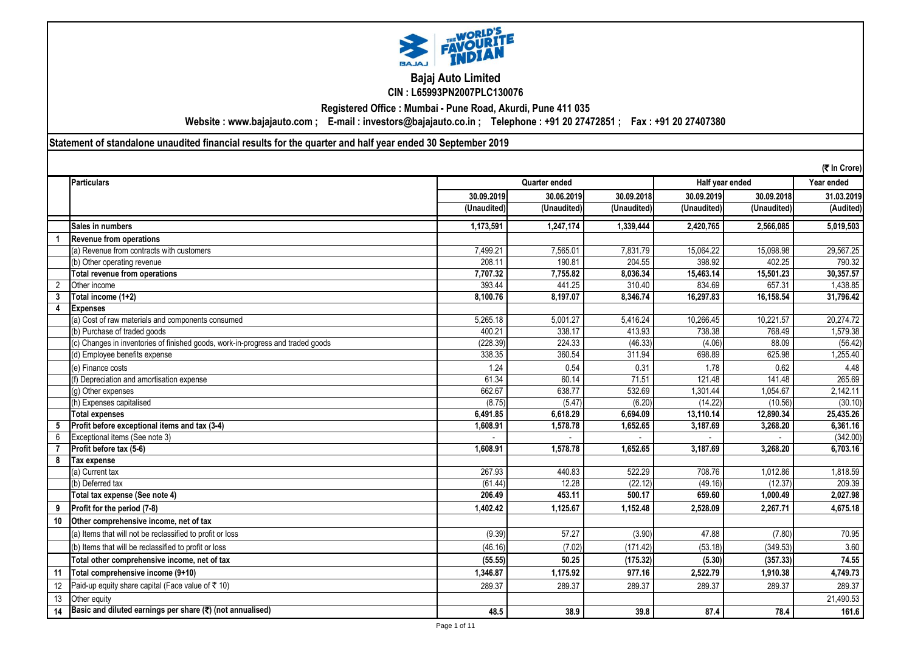

**Bajaj Auto Limited CIN : L65993PN2007PLC130076**

**Registered Office : Mumbai - Pune Road, Akurdi, Pune 411 035**

**Website : www.bajajauto.com ; E-mail : investors@bajajauto.co.in ; Telephone : +91 20 27472851 ; Fax : +91 20 27407380**

**Statement of standalone unaudited financial results for the quarter and half year ended 30 September 2019**

| (रै In Crore) |                                                                                 |             |               |             |             |                 |            |  |
|---------------|---------------------------------------------------------------------------------|-------------|---------------|-------------|-------------|-----------------|------------|--|
|               | <b>Particulars</b>                                                              |             | Quarter ended |             |             | Half year ended | Year ended |  |
|               |                                                                                 | 30.09.2019  | 30.06.2019    | 30.09.2018  | 30.09.2019  | 30.09.2018      | 31.03.2019 |  |
|               |                                                                                 | (Unaudited) | (Unaudited)   | (Unaudited) | (Unaudited) | (Unaudited)     | (Audited)  |  |
|               | <b>Sales in numbers</b>                                                         | 1,173,591   | 1,247,174     | 1,339,444   | 2,420,765   | 2,566,085       | 5,019,503  |  |
|               | <b>Revenue from operations</b>                                                  |             |               |             |             |                 |            |  |
|               | (a) Revenue from contracts with customers                                       | 7,499.21    | 7,565.01      | 7.831.79    | 15,064.22   | 15.098.98       | 29,567.25  |  |
|               | (b) Other operating revenue                                                     | 208.11      | 190.81        | 204.55      | 398.92      | 402.25          | 790.32     |  |
|               | <b>Total revenue from operations</b>                                            | 7,707.32    | 7,755.82      | 8,036.34    | 15,463.14   | 15,501.23       | 30,357.57  |  |
| 2             | Other income                                                                    | 393.44      | 441.25        | 310.40      | 834.69      | 657.31          | 1,438.85   |  |
| 3             | Total income (1+2)                                                              | 8.100.76    | 8,197.07      | 8.346.74    | 16,297.83   | 16,158.54       | 31,796.42  |  |
| 4             | <b>Expenses</b>                                                                 |             |               |             |             |                 |            |  |
|               | (a) Cost of raw materials and components consumed                               | 5,265.18    | 5,001.27      | 5,416.24    | 10.266.45   | 10,221.57       | 20,274.72  |  |
|               | (b) Purchase of traded goods                                                    | 400.21      | 338.17        | 413.93      | 738.38      | 768.49          | 1,579.38   |  |
|               | (c) Changes in inventories of finished goods, work-in-progress and traded goods | (228.39)    | 224.33        | (46.33)     | (4.06)      | 88.09           | (56.42)    |  |
|               | (d) Employee benefits expense                                                   | 338.35      | 360.54        | 311.94      | 698.89      | 625.98          | 1,255.40   |  |
|               | (e) Finance costs                                                               | 1.24        | 0.54          | 0.31        | 1.78        | 0.62            | 4.48       |  |
|               | (f) Depreciation and amortisation expense                                       | 61.34       | 60.14         | 71.51       | 121.48      | 141.48          | 265.69     |  |
|               | (a) Other expenses                                                              | 662.67      | 638.77        | 532.69      | 1.301.44    | 1.054.67        | 2,142.11   |  |
|               | (h) Expenses capitalised                                                        | (8.75)      | (5.47)        | (6.20)      | (14.22)     | (10.56)         | (30.10)    |  |
|               | <b>Total expenses</b>                                                           | 6,491.85    | 6,618.29      | 6,694.09    | 13,110.14   | 12,890.34       | 25,435.26  |  |
| 5             | Profit before exceptional items and tax (3-4)                                   | 1,608.91    | 1,578.78      | 1,652.65    | 3,187.69    | 3,268.20        | 6,361.16   |  |
| 6             | Exceptional items (See note 3)                                                  |             |               |             |             |                 | (342.00)   |  |
|               | Profit before tax (5-6)                                                         | 1.608.91    | 1.578.78      | 1.652.65    | 3.187.69    | 3.268.20        | 6.703.16   |  |
| 8             | Tax expense                                                                     |             |               |             |             |                 |            |  |
|               | (a) Current tax                                                                 | 267.93      | 440.83        | 522.29      | 708.76      | 1,012.86        | 1,818.59   |  |
|               | (b) Deferred tax                                                                | (61.44)     | 12.28         | (22.12)     | (49.16)     | (12.37)         | 209.39     |  |
|               | Total tax expense (See note 4)                                                  | 206.49      | 453.11        | 500.17      | 659.60      | 1,000.49        | 2,027.98   |  |
|               | Profit for the period (7-8)                                                     | 1.402.42    | 1.125.67      | 1,152.48    | 2,528.09    | 2,267.71        | 4,675.18   |  |
| 10            | Other comprehensive income, net of tax                                          |             |               |             |             |                 |            |  |
|               | (a) Items that will not be reclassified to profit or loss                       | (9.39)      | 57.27         | (3.90)      | 47.88       | (7.80)          | 70.95      |  |
|               | (b) Items that will be reclassified to profit or loss                           | (46.16)     | (7.02)        | (171.42)    | (53.18)     | (349.53)        | 3.60       |  |
|               | Total other comprehensive income, net of tax                                    | (55.55)     | 50.25         | (175.32)    | (5.30)      | (357.33)        | 74.55      |  |
| 11            | Total comprehensive income (9+10)                                               | 1,346.87    | 1,175.92      | 977.16      | 2,522.79    | 1,910.38        | 4,749.73   |  |
| 12            | Paid-up equity share capital (Face value of ₹ 10)                               | 289.37      | 289.37        | 289.37      | 289.37      | 289.37          | 289.37     |  |
| 13            | Other equity                                                                    |             |               |             |             |                 | 21,490.53  |  |
| 14            | Basic and diluted earnings per share $(\overline{\mathbf{z}})$ (not annualised) | 48.5        | 38.9          | 39.8        | 87.4        | 78.4            | 161.6      |  |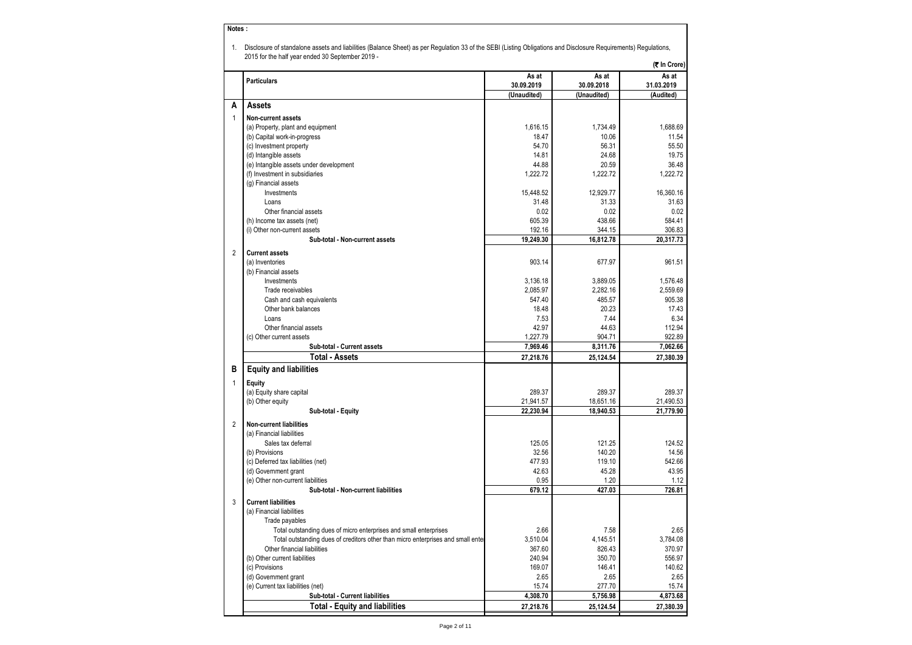|   | 1. Disclosure of standalone assets and liabilities (Balance Sheet) as per Regulation 33 of the SEBI (Listing Obligations and Disclosure Requirements) Regulations,<br>2015 for the half year ended 30 September 2019 - |                      |                     |                                     |
|---|------------------------------------------------------------------------------------------------------------------------------------------------------------------------------------------------------------------------|----------------------|---------------------|-------------------------------------|
|   | <b>Particulars</b>                                                                                                                                                                                                     | As at<br>30.09.2019  | As at<br>30.09.2018 | (そ In Crore)<br>As at<br>31.03.2019 |
|   |                                                                                                                                                                                                                        | (Unaudited)          | (Unaudited)         | (Audited)                           |
| А | <b>Assets</b>                                                                                                                                                                                                          |                      |                     |                                     |
| 1 | Non-current assets                                                                                                                                                                                                     |                      |                     |                                     |
|   | (a) Property, plant and equipment                                                                                                                                                                                      | 1,616.15             | 1,734.49            | 1,688.69                            |
|   | (b) Capital work-in-progress                                                                                                                                                                                           | 18.47                | 10.06               | 11.54                               |
|   | (c) Investment property                                                                                                                                                                                                | 54.70                | 56.31               | 55.50                               |
|   | (d) Intangible assets                                                                                                                                                                                                  | 14.81                | 24.68               | 19.75                               |
|   | (e) Intangible assets under development                                                                                                                                                                                | 44.88                | 20.59               | 36.48                               |
|   | (f) Investment in subsidiaries                                                                                                                                                                                         | 1,222.72             | 1,222.72            | 1,222.72                            |
|   | (g) Financial assets                                                                                                                                                                                                   |                      |                     |                                     |
|   | Investments                                                                                                                                                                                                            | 15,448.52            | 12,929.77           | 16,360.16                           |
|   | Loans                                                                                                                                                                                                                  | 31.48                | 31.33               | 31.63                               |
|   | Other financial assets                                                                                                                                                                                                 | 0.02                 | 0.02                | 0.02                                |
|   | (h) Income tax assets (net)                                                                                                                                                                                            | 605.39               | 438.66              | 584.41                              |
|   | (i) Other non-current assets                                                                                                                                                                                           | 192.16               | 344.15              | 306.83                              |
|   | Sub-total - Non-current assets                                                                                                                                                                                         | 19,249.30            | 16,812.78           | 20,317.73                           |
| 2 | <b>Current assets</b>                                                                                                                                                                                                  |                      |                     |                                     |
|   | (a) Inventories                                                                                                                                                                                                        | 903.14               | 677.97              | 961.51                              |
|   | (b) Financial assets                                                                                                                                                                                                   |                      |                     |                                     |
|   | Investments                                                                                                                                                                                                            | 3,136.18             | 3,889.05            | 1,576.48                            |
|   | Trade receivables                                                                                                                                                                                                      | 2,085.97             | 2,282.16            | 2,559.69                            |
|   | Cash and cash equivalents                                                                                                                                                                                              | 547.40               | 485.57              | 905.38                              |
|   | Other bank balances                                                                                                                                                                                                    | 18.48                | 20.23               | 17.43                               |
|   | Loans                                                                                                                                                                                                                  | 7.53                 | 7.44                | 6.34                                |
|   | Other financial assets                                                                                                                                                                                                 | 42.97                | 44.63<br>904.71     | 112.94                              |
|   | (c) Other current assets<br>Sub-total - Current assets                                                                                                                                                                 | 1,227.79<br>7,969.46 | 8,311.76            | 922.89<br>7,062.66                  |
|   | Total - Assets                                                                                                                                                                                                         |                      |                     |                                     |
| в | <b>Equity and liabilities</b>                                                                                                                                                                                          | 27,218.76            | 25,124.54           | 27,380.39                           |
|   |                                                                                                                                                                                                                        |                      |                     |                                     |
| 1 | Equity                                                                                                                                                                                                                 |                      |                     |                                     |
|   | (a) Equity share capital                                                                                                                                                                                               | 289.37               | 289.37              | 289.37                              |
|   | (b) Other equity                                                                                                                                                                                                       | 21,941.57            | 18,651.16           | 21,490.53                           |
|   | Sub-total - Equity                                                                                                                                                                                                     | 22,230.94            | 18,940.53           | 21,779.90                           |
| 2 | <b>Non-current liabilities</b>                                                                                                                                                                                         |                      |                     |                                     |
|   | (a) Financial liabilities                                                                                                                                                                                              |                      |                     |                                     |
|   | Sales tax deferral                                                                                                                                                                                                     | 125.05               | 121.25              | 124.52                              |
|   | (b) Provisions                                                                                                                                                                                                         | 32.56                | 140.20              | 14.56                               |
|   | (c) Deferred tax liabilities (net)                                                                                                                                                                                     | 477.93               | 119.10              | 542.66                              |
|   | (d) Government grant                                                                                                                                                                                                   | 42.63                | 45.28               | 43.95                               |
|   | (e) Other non-current liabilities                                                                                                                                                                                      | 0.95                 | 1.20                | 1.12                                |
|   | Sub-total - Non-current liabilities                                                                                                                                                                                    | 679.12               | 427.03              | 726.81                              |
| 3 | <b>Current liabilities</b>                                                                                                                                                                                             |                      |                     |                                     |
|   | (a) Financial liabilities                                                                                                                                                                                              |                      |                     |                                     |
|   | Trade payables                                                                                                                                                                                                         |                      |                     |                                     |
|   | Total outstanding dues of micro enterprises and small enterprises                                                                                                                                                      | 2.66                 | 7.58                | 2.65                                |
|   | Total outstanding dues of creditors other than micro enterprises and small enter                                                                                                                                       | 3,510.04             | 4,145.51            | 3,784.08                            |
|   | Other financial liabilities                                                                                                                                                                                            | 367.60               | 826.43              | 370.97                              |
|   | (b) Other current liabilities                                                                                                                                                                                          | 240.94               | 350.70              | 556.97                              |
|   | (c) Provisions                                                                                                                                                                                                         | 169.07               | 146.41              | 140.62                              |
|   | (d) Government grant<br>(e) Current tax liabilities (net)                                                                                                                                                              | 2.65                 | 2.65                | 2.65                                |
|   | Sub-total - Current liabilities                                                                                                                                                                                        | 15.74<br>4,308.70    | 277.70<br>5,756.98  | 15.74<br>4,873.68                   |
|   |                                                                                                                                                                                                                        |                      |                     |                                     |
|   | <b>Total - Equity and liabilities</b>                                                                                                                                                                                  | 27,218.76            | 25,124.54           | 27,380.39                           |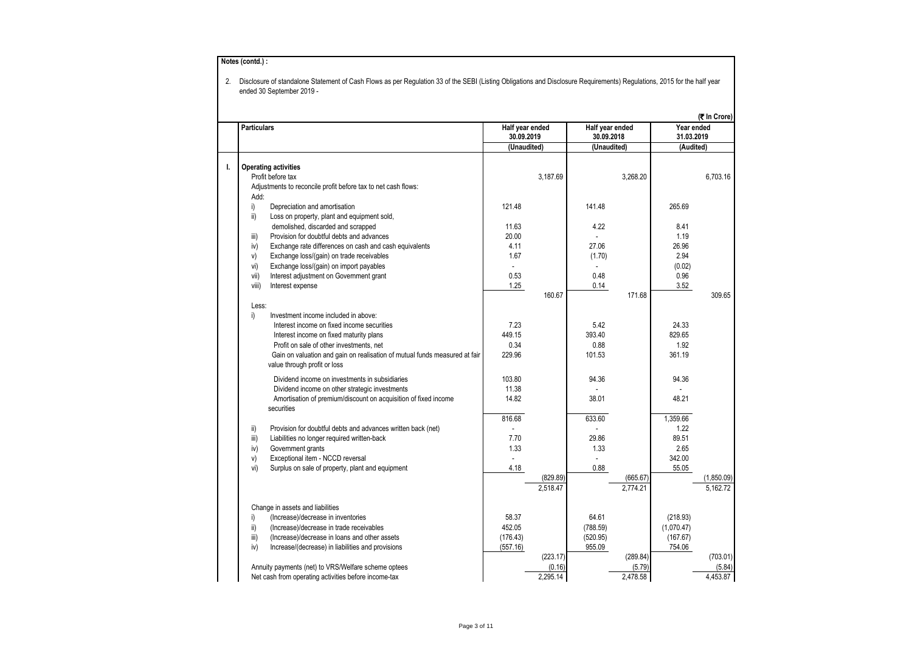| <b>Particulars</b>                                                         | Half year ended |          | Half year ended |          |                          | (₹ In Crore) |
|----------------------------------------------------------------------------|-----------------|----------|-----------------|----------|--------------------------|--------------|
|                                                                            | 30.09.2019      |          | 30.09.2018      |          | Year ended<br>31.03.2019 |              |
|                                                                            | (Unaudited)     |          | (Unaudited)     |          | (Audited)                |              |
| <b>Operating activities</b>                                                |                 |          |                 |          |                          |              |
| Profit before tax                                                          |                 | 3,187.69 |                 | 3,268.20 |                          | 6,703.16     |
| Adjustments to reconcile profit before tax to net cash flows:              |                 |          |                 |          |                          |              |
| Add:                                                                       |                 |          |                 |          |                          |              |
| i)<br>Depreciation and amortisation                                        | 121.48          |          | 141.48          |          | 265.69                   |              |
| ii)<br>Loss on property, plant and equipment sold,                         |                 |          |                 |          |                          |              |
| demolished, discarded and scrapped                                         | 11.63           |          | 4.22            |          | 8.41                     |              |
| Provision for doubtful debts and advances<br>iii)                          | 20.00           |          |                 |          | 1.19                     |              |
| iv)<br>Exchange rate differences on cash and cash equivalents              | 4.11            |          | 27.06           |          | 26.96                    |              |
| V)<br>Exchange loss/(gain) on trade receivables                            | 1.67            |          | (1.70)          |          | 2.94                     |              |
| vi)<br>Exchange loss/(gain) on import payables                             | $\sim$          |          |                 |          | (0.02)                   |              |
| vii)<br>Interest adjustment on Government grant                            | 0.53            |          | 0.48            |          | 0.96                     |              |
| viii)<br>Interest expense                                                  | 1.25            |          | 0.14            |          | 3.52                     |              |
|                                                                            |                 | 160.67   |                 | 171.68   |                          | 309.65       |
| Less:                                                                      |                 |          |                 |          |                          |              |
| i)<br>Investment income included in above:                                 |                 |          |                 |          |                          |              |
| Interest income on fixed income securities                                 | 7.23            |          | 5.42            |          | 24.33                    |              |
| Interest income on fixed maturity plans                                    | 449.15          |          | 393.40          |          | 829.65                   |              |
| Profit on sale of other investments, net                                   | 0.34            |          | 0.88            |          | 1.92                     |              |
| Gain on valuation and gain on realisation of mutual funds measured at fair | 229.96          |          | 101.53          |          | 361.19                   |              |
| value through profit or loss                                               |                 |          |                 |          |                          |              |
| Dividend income on investments in subsidiaries                             | 103.80          |          | 94.36           |          | 94.36                    |              |
| Dividend income on other strategic investments                             | 11.38           |          |                 |          |                          |              |
| Amortisation of premium/discount on acquisition of fixed income            | 14.82           |          | 38.01           |          | 48.21                    |              |
| securities                                                                 |                 |          |                 |          |                          |              |
|                                                                            | 816.68          |          | 633.60          |          | 1,359.66                 |              |
| ii)<br>Provision for doubtful debts and advances written back (net)        |                 |          |                 |          | 1.22                     |              |
| iii)<br>Liabilities no longer required written-back                        | 7.70            |          | 29.86           |          | 89.51                    |              |
| iv)<br>Government grants                                                   | 1.33            |          | 1.33            |          | 2.65                     |              |
| V)<br>Exceptional item - NCCD reversal                                     |                 |          |                 |          | 342.00                   |              |
| vi)<br>Surplus on sale of property, plant and equipment                    | 4.18            |          | 0.88            |          | 55.05                    |              |
|                                                                            |                 | (829.89) |                 | (665.67) |                          | (1,850.09)   |
|                                                                            |                 | 2,518.47 |                 | 2,774.21 |                          | 5,162.72     |
| Change in assets and liabilities                                           |                 |          |                 |          |                          |              |
| i)<br>(Increase)/decrease in inventories                                   | 58.37           |          | 64.61           |          | (218.93)                 |              |
| ii)<br>(Increase)/decrease in trade receivables                            | 452.05          |          | (788.59)        |          | (1,070.47)               |              |
| iii)<br>(Increase)/decrease in loans and other assets                      | (176.43)        |          | (520.95)        |          | (167.67)                 |              |
| iv)<br>Increase/(decrease) in liabilities and provisions                   | (557.16)        |          | 955.09          |          | 754.06                   |              |
|                                                                            |                 | (223.17) |                 | (289.84) |                          | (703.01)     |
| Annuity payments (net) to VRS/Welfare scheme optees                        |                 | (0.16)   |                 | (5.79)   |                          | (5.84)       |
| Net cash from operating activities before income-tax                       |                 | 2,295.14 |                 | 2,478.58 |                          | 4,453.87     |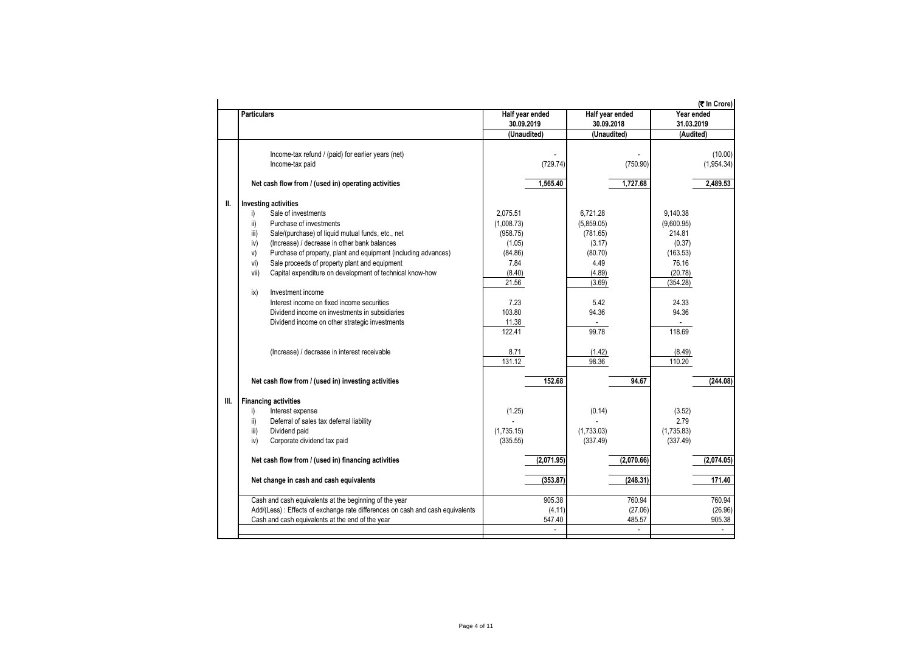|      |                                                                                                                                                                                                                                                                                                                                                                                                                                                                                                                                                                                                                   | (そ In Crore)                                                                                                                              |                                                                                                                                  |                                                                                                                                        |  |  |  |  |
|------|-------------------------------------------------------------------------------------------------------------------------------------------------------------------------------------------------------------------------------------------------------------------------------------------------------------------------------------------------------------------------------------------------------------------------------------------------------------------------------------------------------------------------------------------------------------------------------------------------------------------|-------------------------------------------------------------------------------------------------------------------------------------------|----------------------------------------------------------------------------------------------------------------------------------|----------------------------------------------------------------------------------------------------------------------------------------|--|--|--|--|
|      | <b>Particulars</b>                                                                                                                                                                                                                                                                                                                                                                                                                                                                                                                                                                                                | Half year ended<br>30.09.2019                                                                                                             | Half year ended<br>30.09.2018                                                                                                    | Year ended<br>31.03.2019                                                                                                               |  |  |  |  |
|      |                                                                                                                                                                                                                                                                                                                                                                                                                                                                                                                                                                                                                   | (Unaudited)                                                                                                                               | (Unaudited)                                                                                                                      | (Audited)                                                                                                                              |  |  |  |  |
|      | Income-tax refund / (paid) for earlier years (net)<br>Income-tax paid                                                                                                                                                                                                                                                                                                                                                                                                                                                                                                                                             | (729.74)                                                                                                                                  | (750.90)                                                                                                                         | (10.00)<br>(1,954.34)                                                                                                                  |  |  |  |  |
|      | Net cash flow from / (used in) operating activities                                                                                                                                                                                                                                                                                                                                                                                                                                                                                                                                                               | 1,565.40                                                                                                                                  | 1,727.68                                                                                                                         | 2,489.53                                                                                                                               |  |  |  |  |
| Ш.   | <b>Investing activities</b>                                                                                                                                                                                                                                                                                                                                                                                                                                                                                                                                                                                       |                                                                                                                                           |                                                                                                                                  |                                                                                                                                        |  |  |  |  |
|      | Sale of investments<br>i)<br>Purchase of investments<br>ii)<br>iii)<br>Sale/(purchase) of liquid mutual funds, etc., net<br>(Increase) / decrease in other bank balances<br>iv)<br>Purchase of property, plant and equipment (including advances)<br>V)<br>Sale proceeds of property plant and equipment<br>vi)<br>Capital expenditure on development of technical know-how<br>vii)<br>ix)<br>Investment income<br>Interest income on fixed income securities<br>Dividend income on investments in subsidiaries<br>Dividend income on other strategic investments<br>(Increase) / decrease in interest receivable | 2.075.51<br>(1,008.73)<br>(958.75)<br>(1.05)<br>(84.86)<br>7.84<br>(8.40)<br>21.56<br>7.23<br>103.80<br>11.38<br>122.41<br>8.71<br>131.12 | 6.721.28<br>(5,859.05)<br>(781.65)<br>(3.17)<br>(80.70)<br>4.49<br>(4.89)<br>(3.69)<br>5.42<br>94.36<br>99.78<br>(1.42)<br>98.36 | 9.140.38<br>(9,600.95)<br>214.81<br>(0.37)<br>(163.53)<br>76.16<br>(20.78)<br>(354.28)<br>24.33<br>94.36<br>118.69<br>(8.49)<br>110.20 |  |  |  |  |
|      | Net cash flow from / (used in) investing activities                                                                                                                                                                                                                                                                                                                                                                                                                                                                                                                                                               | 152.68                                                                                                                                    | 94.67                                                                                                                            | (244.08)                                                                                                                               |  |  |  |  |
| III. | <b>Financing activities</b>                                                                                                                                                                                                                                                                                                                                                                                                                                                                                                                                                                                       |                                                                                                                                           |                                                                                                                                  |                                                                                                                                        |  |  |  |  |
|      | Interest expense<br>i)<br>ii)<br>Deferral of sales tax deferral liability<br>iii)<br>Dividend paid<br>Corporate dividend tax paid<br>iv)                                                                                                                                                                                                                                                                                                                                                                                                                                                                          | (1.25)<br>(1,735.15)<br>(335.55)                                                                                                          | (0.14)<br>(1,733.03)<br>(337.49)                                                                                                 | (3.52)<br>2.79<br>(1,735.83)<br>(337.49)                                                                                               |  |  |  |  |
|      | Net cash flow from / (used in) financing activities                                                                                                                                                                                                                                                                                                                                                                                                                                                                                                                                                               | (2,071.95)                                                                                                                                | (2,070.66)                                                                                                                       | (2,074.05)                                                                                                                             |  |  |  |  |
|      | Net change in cash and cash equivalents                                                                                                                                                                                                                                                                                                                                                                                                                                                                                                                                                                           | (353.87)                                                                                                                                  | (248.31)                                                                                                                         | 171.40                                                                                                                                 |  |  |  |  |
|      | Cash and cash equivalents at the beginning of the year<br>Add/(Less) : Effects of exchange rate differences on cash and cash equivalents<br>Cash and cash equivalents at the end of the year                                                                                                                                                                                                                                                                                                                                                                                                                      | 905.38<br>(4.11)<br>547.40                                                                                                                | 760.94<br>(27.06)<br>485.57<br>÷.                                                                                                | 760.94<br>(26.96)<br>905.38<br>$\blacksquare$                                                                                          |  |  |  |  |
|      |                                                                                                                                                                                                                                                                                                                                                                                                                                                                                                                                                                                                                   |                                                                                                                                           |                                                                                                                                  |                                                                                                                                        |  |  |  |  |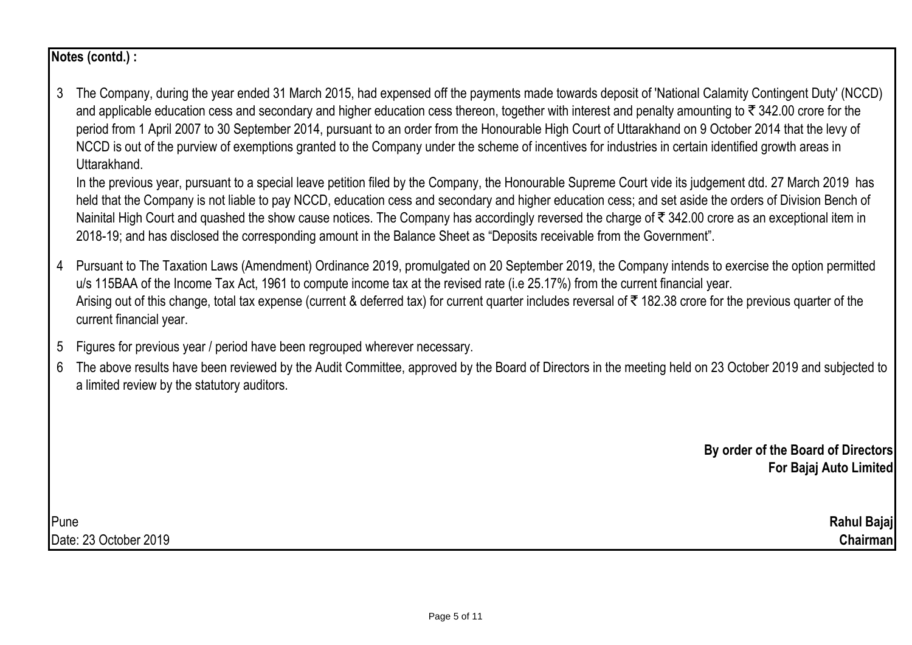# **Notes (contd.) :**

3 The Company, during the year ended 31 March 2015, had expensed off the payments made towards deposit of 'National Calamity Contingent Duty' (NCCD) and applicable education cess and secondary and higher education cess thereon, together with interest and penalty amounting to  $\bar{\tau}$  342.00 crore for the period from 1 April 2007 to 30 September 2014, pursuant to an order from the Honourable High Court of Uttarakhand on 9 October 2014 that the levy of NCCD is out of the purview of exemptions granted to the Company under the scheme of incentives for industries in certain identified growth areas in Uttarakhand.

In the previous year, pursuant to a special leave petition filed by the Company, the Honourable Supreme Court vide its judgement dtd. 27 March 2019 has held that the Company is not liable to pay NCCD, education cess and secondary and higher education cess; and set aside the orders of Division Bench of Nainital High Court and quashed the show cause notices. The Company has accordingly reversed the charge of  $\bar{\tau}$  342.00 crore as an exceptional item in 2018-19; and has disclosed the corresponding amount in the Balance Sheet as "Deposits receivable from the Government".

- 4 Pursuant to The Taxation Laws (Amendment) Ordinance 2019, promulgated on 20 September 2019, the Company intends to exercise the option permitted u/s 115BAA of the Income Tax Act, 1961 to compute income tax at the revised rate (i.e 25.17%) from the current financial year. Arising out of this change, total tax expense (current & deferred tax) for current quarter includes reversal of  $\bar{\tau}$  182.38 crore for the previous quarter of the current financial year.
- 5 Figures for previous year / period have been regrouped wherever necessary.
- 6 The above results have been reviewed by the Audit Committee, approved by the Board of Directors in the meeting held on 23 October 2019 and subjected to a limited review by the statutory auditors.

**By order of the Board of Directors For Bajaj Auto Limited**

Pune **Rahul Bajaj** Date: 23 October 2019 **Chairman**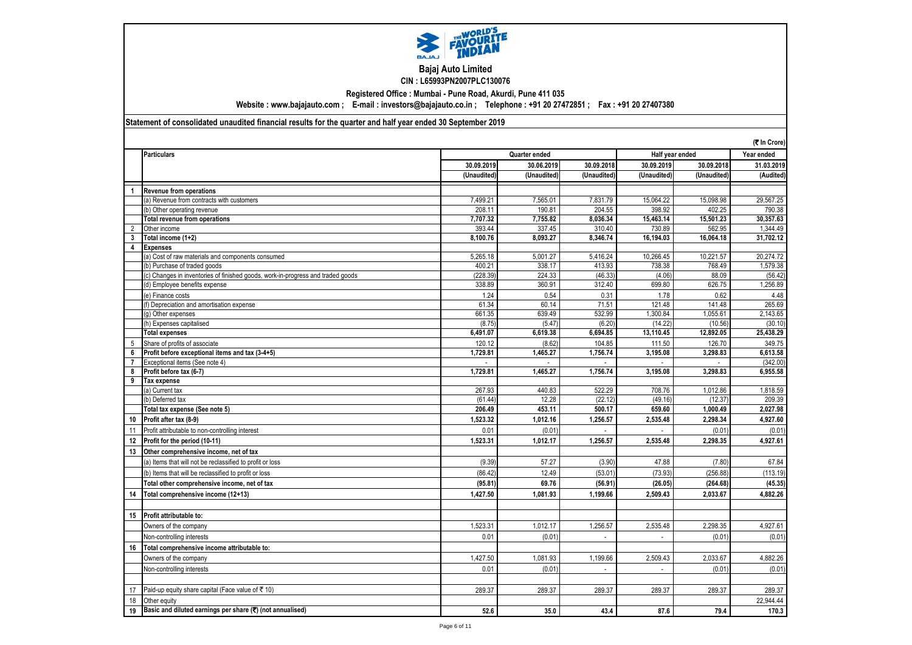

### **Bajaj Auto Limited CIN : L65993PN2007PLC130076**

**Registered Office : Mumbai - Pune Road, Akurdi, Pune 411 035**

**Website : www.bajajauto.com ; E-mail : investors@bajajauto.co.in ; Telephone : +91 20 27472851 ; Fax : +91 20 27407380**

### **Statement of consolidated unaudited financial results for the quarter and half year ended 30 September 2019**

|                |                                                                                |             |               |                |             | (₹ In Crore)    |            |
|----------------|--------------------------------------------------------------------------------|-------------|---------------|----------------|-------------|-----------------|------------|
|                | <b>Particulars</b>                                                             |             | Quarter ended |                |             | Half year ended | Year ended |
|                |                                                                                | 30.09.2019  | 30.06.2019    | 30.09.2018     | 30.09.2019  | 30.09.2018      | 31.03.2019 |
|                |                                                                                | (Unaudited) | (Unaudited)   | (Unaudited)    | (Unaudited) | (Unaudited)     | (Audited)  |
| $\overline{1}$ | <b>Revenue from operations</b>                                                 |             |               |                |             |                 |            |
|                | (a) Revenue from contracts with customers                                      | 7,499.21    | 7,565.01      | 7,831.79       | 15,064.22   | 15,098.98       | 29,567.25  |
|                | (b) Other operating revenue                                                    | 208.11      | 190.81        | 204.55         | 398.92      | 402.25          | 790.38     |
|                | Total revenue from operations                                                  | 7.707.32    | 7,755.82      | 8.036.34       | 15,463.14   | 15,501.23       | 30.357.63  |
| 2              | Other income                                                                   | 393.44      | 337.45        | 310.40         | 730.89      | 562.95          | 1,344.49   |
| 3              | Total income (1+2)                                                             | 8.100.76    | 8.093.27      | 8.346.74       | 16,194.03   | 16,064.18       | 31,702.12  |
| 4              | <b>Expenses</b>                                                                |             |               |                |             |                 |            |
|                | (a) Cost of raw materials and components consumed                              | 5,265.18    | 5,001.27      | 5,416.24       | 10,266.45   | 10,221.57       | 20,274.72  |
|                | (b) Purchase of traded goods                                                   | 400.21      | 338.17        | 413.93         | 738.38      | 768.49          | 1,579.38   |
|                | c) Changes in inventories of finished goods, work-in-progress and traded goods | (228.39)    | 224.33        | (46.33)        | (4.06)      | 88.09           | (56.42)    |
|                | d) Employee benefits expense                                                   | 338.89      | 360.91        | 312.40         | 699.80      | 626.75          | 1,256.89   |
|                | e) Finance costs                                                               | 1.24        | 0.54          | 0.31           | 1.78        | 0.62            | 4.48       |
|                | f) Depreciation and amortisation expense                                       | 61.34       | 60.14         | 71.51          | 121.48      | 141.48          | 265.69     |
|                | g) Other expenses                                                              | 661.35      | 639.49        | 532.99         | 1.300.84    | 1.055.61        | 2.143.65   |
|                | (h) Expenses capitalised                                                       | (8.75)      | (5.47)        | (6.20)         | (14.22)     | (10.56)         | (30.10)    |
|                | <b>Total expenses</b>                                                          | 6,491.07    | 6,619.38      | 6,694.85       | 13,110.45   | 12,892.05       | 25,438.29  |
| 5              | Share of profits of associate                                                  | 120.12      | (8.62)        | 104.85         | 111.50      | 126.70          | 349.75     |
| 6              | Profit before exceptional items and tax (3-4+5)                                | 1,729.81    | 1,465.27      | 1,756.74       | 3,195.08    | 3,298.83        | 6,613.58   |
| $\overline{7}$ | Exceptional items (See note 4)                                                 |             |               |                |             |                 | (342.00)   |
| 8              | Profit before tax (6-7)                                                        | 1,729.81    | 1.465.27      | 1.756.74       | 3,195.08    | 3,298.83        | 6,955.58   |
| 9              | Tax expense                                                                    |             |               |                |             |                 |            |
|                | (a) Current tax                                                                | 267.93      | 440.83        | 522.29         | 708.76      | 1,012.86        | 1,818.59   |
|                | b) Deferred tax                                                                | (61.44)     | 12.28         | (22.12)        | (49.16)     | (12.37)         | 209.39     |
|                | Total tax expense (See note 5)                                                 | 206.49      | 453.11        | 500.17         | 659.60      | 1,000.49        | 2,027.98   |
| 10             | Profit after tax (8-9)                                                         | 1,523.32    | 1,012.16      | 1,256.57       | 2,535.48    | 2,298.34        | 4,927.60   |
| 11             | Profit attributable to non-controlling interest                                | 0.01        | (0.01)        |                |             | (0.01)          | (0.01)     |
| 12             | Profit for the period (10-11)                                                  | 1,523.31    | 1,012.17      | 1,256.57       | 2,535.48    | 2,298.35        | 4,927.61   |
| 13             | Other comprehensive income, net of tax                                         |             |               |                |             |                 |            |
|                | (a) Items that will not be reclassified to profit or loss                      | (9.39)      | 57.27         | (3.90)         | 47.88       | (7.80)          | 67.84      |
|                | (b) Items that will be reclassified to profit or loss                          | (86.42)     | 12.49         | (53.01)        | (73.93)     | (256.88)        | (113.19)   |
|                | Total other comprehensive income, net of tax                                   | (95.81)     | 69.76         | (56.91)        | (26.05)     | (264.68)        | (45.35)    |
| 14             | Total comprehensive income (12+13)                                             | 1.427.50    | 1.081.93      | 1.199.66       | 2.509.43    | 2.033.67        | 4,882.26   |
|                |                                                                                |             |               |                |             |                 |            |
| 15             | Profit attributable to:                                                        |             |               |                |             |                 |            |
|                | Owners of the company                                                          | 1,523.31    | 1,012.17      | 1,256.57       | 2,535.48    | 2,298.35        | 4,927.61   |
|                |                                                                                |             |               |                |             |                 |            |
|                | Non-controlling interests                                                      | 0.01        | (0.01)        | $\overline{a}$ |             | (0.01)          | (0.01)     |
| 16             | Total comprehensive income attributable to:                                    |             |               |                |             |                 |            |
|                | Owners of the company                                                          | 1,427.50    | 1,081.93      | 1,199.66       | 2,509.43    | 2,033.67        | 4,882.26   |
|                | Non-controlling interests                                                      | 0.01        | (0.01)        | $\mathbb{L}^+$ | $\sim$      | (0.01)          | (0.01)     |
|                |                                                                                |             |               |                |             |                 |            |
| 17             | Paid-up equity share capital (Face value of ₹ 10)                              | 289.37      | 289.37        | 289.37         | 289.37      | 289.37          | 289.37     |
| 18             | Other equity                                                                   |             |               |                |             |                 | 22,944.44  |
| 19             | Basic and diluted earnings per share (₹) (not annualised)                      | 52.6        | 35.0          | 43.4           | 87.6        | 79.4            | 170.3      |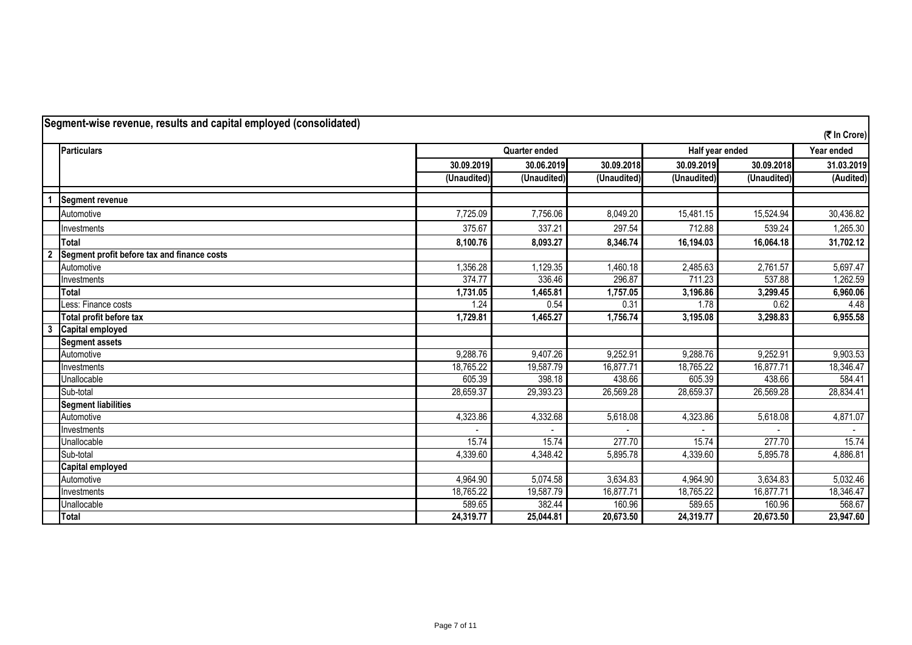| Segment-wise revenue, results and capital employed (consolidated) |                                             |             |                      |             |                 |             |              |  |  |
|-------------------------------------------------------------------|---------------------------------------------|-------------|----------------------|-------------|-----------------|-------------|--------------|--|--|
|                                                                   |                                             |             |                      |             |                 |             | (そ In Crore) |  |  |
|                                                                   | <b>Particulars</b>                          |             | <b>Quarter ended</b> |             | Half year ended |             | Year ended   |  |  |
|                                                                   |                                             | 30.09.2019  | 30.06.2019           | 30.09.2018  | 30.09.2019      | 30.09.2018  | 31.03.2019   |  |  |
|                                                                   |                                             | (Unaudited) | (Unaudited)          | (Unaudited) | (Unaudited)     | (Unaudited) | (Audited)    |  |  |
|                                                                   | <b>Segment revenue</b>                      |             |                      |             |                 |             |              |  |  |
|                                                                   | Automotive                                  | 7,725.09    | 7,756.06             | 8,049.20    | 15,481.15       | 15,524.94   | 30,436.82    |  |  |
|                                                                   | Investments                                 | 375.67      | 337.21               | 297.54      | 712.88          | 539.24      | 1,265.30     |  |  |
|                                                                   | <b>Total</b>                                | 8,100.76    | 8,093.27             | 8,346.74    | 16,194.03       | 16,064.18   | 31,702.12    |  |  |
| $\overline{\mathbf{2}}$                                           | Segment profit before tax and finance costs |             |                      |             |                 |             |              |  |  |
|                                                                   | Automotive                                  | 1,356.28    | 1,129.35             | 1,460.18    | 2,485.63        | 2,761.57    | 5,697.47     |  |  |
|                                                                   | Investments                                 | 374.77      | 336.46               | 296.87      | 711.23          | 537.88      | 1,262.59     |  |  |
|                                                                   | Total                                       | 1,731.05    | 1,465.81             | 1,757.05    | 3,196.86        | 3,299.45    | 6,960.06     |  |  |
|                                                                   | Less: Finance costs                         | 1.24        | 0.54                 | 0.31        | 1.78            | 0.62        | 4.48         |  |  |
|                                                                   | Total profit before tax                     | 1,729.81    | 1,465.27             | 1,756.74    | 3,195.08        | 3,298.83    | 6,955.58     |  |  |
| $\overline{\mathbf{3}}$                                           | Capital employed                            |             |                      |             |                 |             |              |  |  |
|                                                                   | <b>Segment assets</b>                       |             |                      |             |                 |             |              |  |  |
|                                                                   | Automotive                                  | 9,288.76    | 9,407.26             | 9,252.91    | 9,288.76        | 9,252.91    | 9,903.53     |  |  |
|                                                                   | Investments                                 | 18,765.22   | 19,587.79            | 16,877.71   | 18,765.22       | 16,877.71   | 18,346.47    |  |  |
|                                                                   | Unallocable                                 | 605.39      | 398.18               | 438.66      | 605.39          | 438.66      | 584.41       |  |  |
|                                                                   | Sub-total                                   | 28,659.37   | 29,393.23            | 26,569.28   | 28,659.37       | 26,569.28   | 28,834.41    |  |  |
|                                                                   | <b>Segment liabilities</b>                  |             |                      |             |                 |             |              |  |  |
|                                                                   | Automotive                                  | 4,323.86    | 4,332.68             | 5,618.08    | 4,323.86        | 5,618.08    | 4,871.07     |  |  |
|                                                                   | Investments                                 |             |                      |             |                 |             |              |  |  |
|                                                                   | Unallocable                                 | 15.74       | 15.74                | 277.70      | 15.74           | 277.70      | 15.74        |  |  |
|                                                                   | Sub-total                                   | 4,339.60    | 4,348.42             | 5,895.78    | 4,339.60        | 5,895.78    | 4,886.81     |  |  |
|                                                                   | <b>Capital employed</b>                     |             |                      |             |                 |             |              |  |  |
|                                                                   | Automotive                                  | 4,964.90    | 5,074.58             | 3,634.83    | 4,964.90        | 3,634.83    | 5,032.46     |  |  |
|                                                                   | Investments                                 | 18,765.22   | 19,587.79            | 16,877.71   | 18,765.22       | 16,877.71   | 18,346.47    |  |  |
|                                                                   | Unallocable                                 | 589.65      | 382.44               | 160.96      | 589.65          | 160.96      | 568.67       |  |  |
|                                                                   | Total                                       | 24,319.77   | 25,044.81            | 20,673.50   | 24,319.77       | 20,673.50   | 23,947.60    |  |  |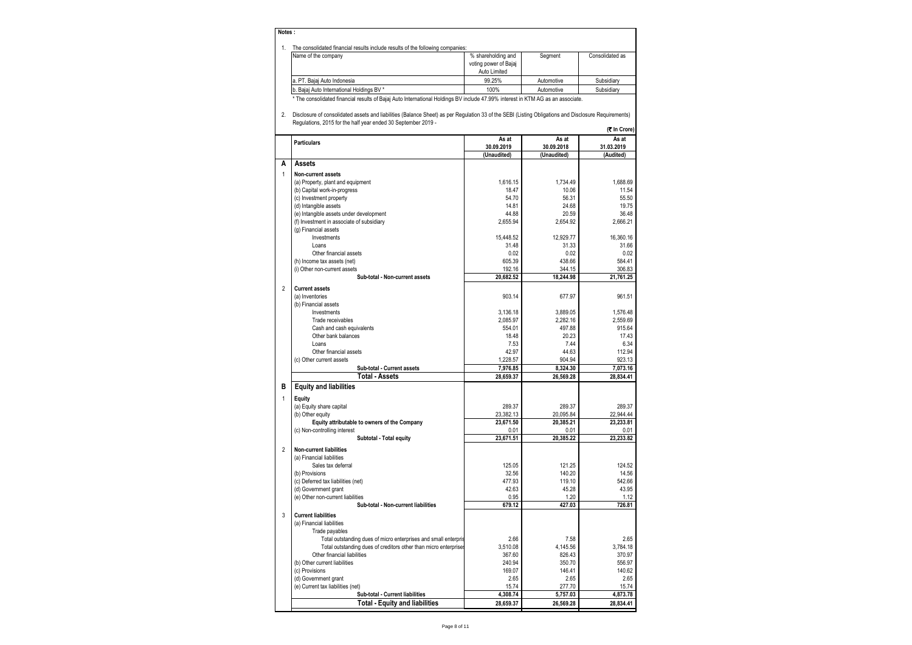#### **Notes :**

|  | The consolidated financial results include results of the following companies: |  |  |  |  |  |  |  |  |
|--|--------------------------------------------------------------------------------|--|--|--|--|--|--|--|--|
|--|--------------------------------------------------------------------------------|--|--|--|--|--|--|--|--|

| Name of the company                       | % shareholding and<br>voting power of Bajaj<br>Auto Limited | Segment    | Consolidated as |
|-------------------------------------------|-------------------------------------------------------------|------------|-----------------|
| a. PT. Baiai Auto Indonesia               | 99.25%                                                      | Automotive | Subsidiary      |
| b. Baiai Auto International Holdings BV * | 100%                                                        | Automotive | Subsidiary      |
|                                           |                                                             |            |                 |

\* The consolidated financial results of Bajaj Auto International Holdings BV include 47.99% interest in KTM AG as an associate.

2. Disclosure of consolidated assets and liabilities (Balance Sheet) as per Regulation 33 of the SEBI (Listing Obligations and Disclosure Requirements) Regulations, 2015 for the half year ended 30 September 2019 - **(**` **In Crore)**

|                | <b>Particulars</b>                                                                   | As at                  | As at               | As at               |
|----------------|--------------------------------------------------------------------------------------|------------------------|---------------------|---------------------|
|                |                                                                                      | 30.09.2019             | 30.09.2018          | 31.03.2019          |
|                |                                                                                      | (Unaudited)            | (Unaudited)         | (Audited)           |
| A              | Assets                                                                               |                        |                     |                     |
| 1              | <b>Non-current assets</b>                                                            |                        |                     |                     |
|                | (a) Property, plant and equipment                                                    | 1,616.15               | 1,734.49            | 1,688.69            |
|                | (b) Capital work-in-progress                                                         | 18.47                  | 10.06               | 11.54               |
|                | (c) Investment property                                                              | 54.70                  | 56.31               | 55.50               |
|                | (d) Intangible assets                                                                | 14.81<br>44.88         | 24.68<br>20.59      | 19.75<br>36.48      |
|                | (e) Intangible assets under development<br>(f) Investment in associate of subsidiary | 2.655.94               | 2.654.92            | 2,666.21            |
|                | (g) Financial assets                                                                 |                        |                     |                     |
|                | Investments                                                                          | 15,448.52              | 12,929.77           | 16,360.16           |
|                | Loans                                                                                | 31.48                  | 31.33               | 31.66               |
|                | Other financial assets                                                               | 0.02                   | 0.02                | 0.02                |
|                | (h) Income tax assets (net)                                                          | 605.39                 | 438.66              | 584.41              |
|                | (i) Other non-current assets                                                         | 192.16                 | 344.15              | 306.83              |
|                | Sub-total - Non-current assets                                                       | 20,682.52              | 18,244.98           | 21,761.25           |
| $\overline{2}$ | <b>Current assets</b>                                                                |                        |                     |                     |
|                | (a) Inventories                                                                      | 903.14                 | 677.97              | 961.51              |
|                | (b) Financial assets                                                                 |                        |                     |                     |
|                | Investments                                                                          | 3,136.18               | 3,889.05            | 1,576.48            |
|                | Trade receivables                                                                    | 2.085.97               | 2.282.16            | 2.559.69            |
|                | Cash and cash equivalents                                                            | 554.01                 | 497.88              | 915.64              |
|                | Other bank balances                                                                  | 18.48                  | 20.23               | 17.43               |
|                | Loans                                                                                | 7.53                   | 7.44                | 6.34                |
|                | Other financial assets                                                               | 42.97                  | 44.63               | 112.94              |
|                | (c) Other current assets                                                             | 1,228.57               | 904.94              | 923.13              |
|                | Sub-total - Current assets                                                           | 7,976.85               | 8,324.30            | 7,073.16            |
|                | <b>Total - Assets</b>                                                                | 28,659.37              | 26,569.28           | 28,834.41           |
| в              | <b>Equity and liabilities</b>                                                        |                        |                     |                     |
|                |                                                                                      |                        |                     |                     |
| 1              | Equity                                                                               |                        |                     |                     |
|                | (a) Equity share capital                                                             | 289.37                 | 289.37<br>20,095.84 | 289.37<br>22,944.44 |
|                | (b) Other equity                                                                     | 23,382.13<br>23,671.50 | 20,385.21           | 23,233.81           |
|                | Equity attributable to owners of the Company<br>(c) Non-controlling interest         | 0.01                   | 0.01                | 0.01                |
|                | Subtotal - Total equity                                                              | 23,671.51              | 20,385.22           | 23,233.82           |
|                |                                                                                      |                        |                     |                     |
| $\overline{2}$ | Non-current liabilities                                                              |                        |                     |                     |
|                | (a) Financial liabilities                                                            |                        |                     |                     |
|                | Sales tax deferral                                                                   | 125.05                 | 121.25              | 124.52              |
|                | (b) Provisions                                                                       | 32.56                  | 140.20              | 14.56               |
|                | (c) Deferred tax liabilities (net)                                                   | 477.93<br>42.63        | 119.10              | 542.66<br>43.95     |
|                | (d) Government grant<br>(e) Other non-current liabilities                            | 0.95                   | 45.28<br>1.20       | 1.12                |
|                | Sub-total - Non-current liabilities                                                  | 679.12                 | 427.03              | 726.81              |
|                |                                                                                      |                        |                     |                     |
| 3              | <b>Current liabilities</b>                                                           |                        |                     |                     |
|                | (a) Financial liabilities                                                            |                        |                     |                     |
|                | Trade payables                                                                       |                        |                     |                     |
|                | Total outstanding dues of micro enterprises and small enterpris                      | 2.66                   | 7.58                | 2.65                |
|                | Total outstanding dues of creditors other than micro enterprises                     | 3,510.08               | 4,145.56            | 3,784.18            |
|                | Other financial liabilities                                                          | 367.60                 | 826.43              | 370.97              |
|                | (b) Other current liabilities                                                        | 240.94<br>169.07       | 350.70              | 556.97              |
|                | (c) Provisions                                                                       | 2.65                   | 146.41<br>2.65      | 140.62<br>2.65      |
|                | (d) Government grant<br>(e) Current tax liabilities (net)                            | 15.74                  | 277.70              | 15.74               |
|                | Sub-total - Current liabilities                                                      | 4,308.74               | 5,757.03            | 4,873.78            |
|                | <b>Total - Equity and liabilities</b>                                                |                        | 26,569.28           |                     |
|                |                                                                                      | 28,659.37              |                     | 28,834.41           |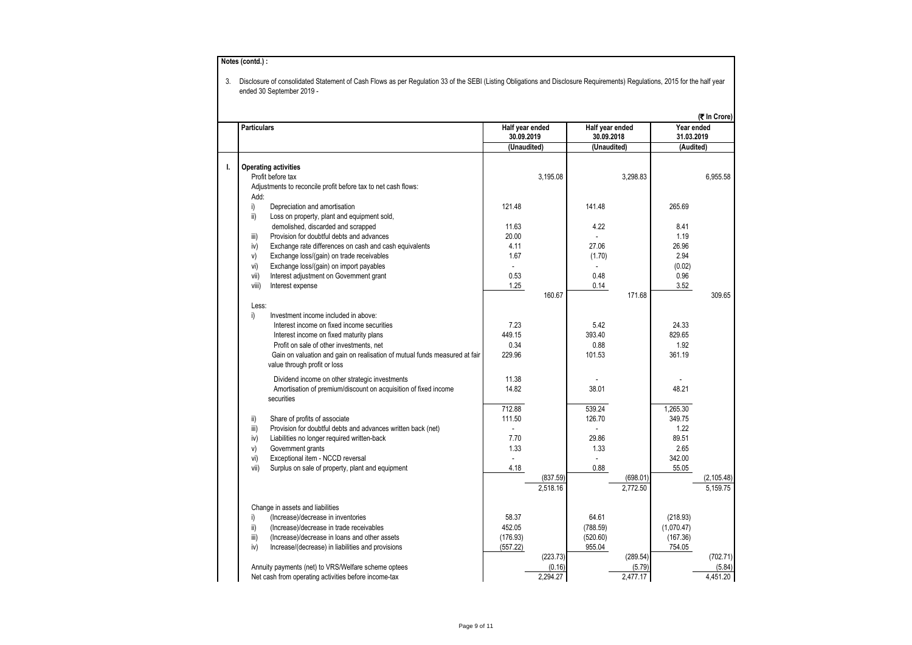|                                                                                             |                               |          |                               |          |                          | (₹ In Crore) |
|---------------------------------------------------------------------------------------------|-------------------------------|----------|-------------------------------|----------|--------------------------|--------------|
| <b>Particulars</b>                                                                          | Half year ended<br>30.09.2019 |          | Half year ended<br>30.09.2018 |          | Year ended<br>31.03.2019 |              |
|                                                                                             | (Unaudited)                   |          | (Unaudited)                   |          | (Audited)                |              |
|                                                                                             |                               |          |                               |          |                          |              |
| <b>Operating activities</b><br>I.                                                           |                               |          |                               |          |                          |              |
| Profit before tax                                                                           |                               | 3,195.08 |                               | 3,298.83 |                          | 6,955.58     |
| Adjustments to reconcile profit before tax to net cash flows:                               |                               |          |                               |          |                          |              |
| Add:                                                                                        |                               |          |                               |          |                          |              |
| i)<br>Depreciation and amortisation                                                         | 121.48                        |          | 141.48                        |          | 265.69                   |              |
| ii)<br>Loss on property, plant and equipment sold,                                          | 11.63                         |          | 4.22                          |          | 8.41                     |              |
| demolished, discarded and scrapped                                                          | 20.00                         |          |                               |          |                          |              |
| iii)<br>Provision for doubtful debts and advances                                           | 4.11                          |          | 27.06                         |          | 1.19<br>26.96            |              |
| Exchange rate differences on cash and cash equivalents<br>iv)<br>v)                         | 1.67                          |          | (1.70)                        |          | 2.94                     |              |
| Exchange loss/(gain) on trade receivables<br>vi)<br>Exchange loss/(gain) on import payables | ÷.                            |          |                               |          | (0.02)                   |              |
| Interest adjustment on Government grant<br>vii)                                             | 0.53                          |          | 0.48                          |          | 0.96                     |              |
| viii)<br>Interest expense                                                                   | 1.25                          |          | 0.14                          |          | 3.52                     |              |
|                                                                                             |                               | 160.67   |                               | 171.68   |                          | 309.65       |
| Less:                                                                                       |                               |          |                               |          |                          |              |
| i)<br>Investment income included in above:                                                  |                               |          |                               |          |                          |              |
| Interest income on fixed income securities                                                  | 7.23                          |          | 5.42                          |          | 24.33                    |              |
| Interest income on fixed maturity plans                                                     | 449.15                        |          | 393.40                        |          | 829.65                   |              |
| Profit on sale of other investments, net                                                    | 0.34                          |          | 0.88                          |          | 1.92                     |              |
| Gain on valuation and gain on realisation of mutual funds measured at fair                  | 229.96                        |          | 101.53                        |          | 361.19                   |              |
| value through profit or loss                                                                |                               |          |                               |          |                          |              |
| Dividend income on other strategic investments                                              | 11.38                         |          |                               |          |                          |              |
| Amortisation of premium/discount on acquisition of fixed income                             | 14.82                         |          | 38.01                         |          | 48.21                    |              |
| securities                                                                                  |                               |          |                               |          |                          |              |
|                                                                                             | 712.88                        |          | 539.24                        |          | 1,265.30                 |              |
| ii)<br>Share of profits of associate                                                        | 111.50                        |          | 126.70                        |          | 349.75                   |              |
| iii)<br>Provision for doubtful debts and advances written back (net)                        | $\sim$                        |          |                               |          | 1.22                     |              |
| iv)<br>Liabilities no longer required written-back                                          | 7.70                          |          | 29.86                         |          | 89.51                    |              |
| V)<br>Government grants                                                                     | 1.33                          |          | 1.33                          |          | 2.65                     |              |
| vi)<br>Exceptional item - NCCD reversal                                                     |                               |          |                               |          | 342.00                   |              |
| Surplus on sale of property, plant and equipment<br>vii)                                    | 4.18                          |          | 0.88                          |          | 55.05                    |              |
|                                                                                             |                               | (837.59) |                               | (698.01) |                          | (2,105.48)   |
|                                                                                             |                               | 2.518.16 |                               | 2.772.50 |                          | 5,159.75     |
| Change in assets and liabilities                                                            |                               |          |                               |          |                          |              |
| i)<br>(Increase)/decrease in inventories                                                    | 58.37                         |          | 64.61                         |          | (218.93)                 |              |
| ii)<br>(Increase)/decrease in trade receivables                                             | 452.05                        |          | (788.59)                      |          | (1,070.47)               |              |
| iii)<br>(Increase)/decrease in loans and other assets                                       | (176.93)                      |          | (520.60)                      |          | (167.36)                 |              |
| iv)<br>Increase/(decrease) in liabilities and provisions                                    | (557.22)                      |          | 955.04                        |          | 754.05                   |              |
|                                                                                             |                               | (223.73) |                               | (289.54) |                          | (702.71)     |
| Annuity payments (net) to VRS/Welfare scheme optees                                         |                               | (0.16)   |                               | (5.79)   |                          | (5.84)       |
| Net cash from operating activities before income-tax                                        |                               | 2,294.27 |                               | 2,477.17 |                          | 4,451.20     |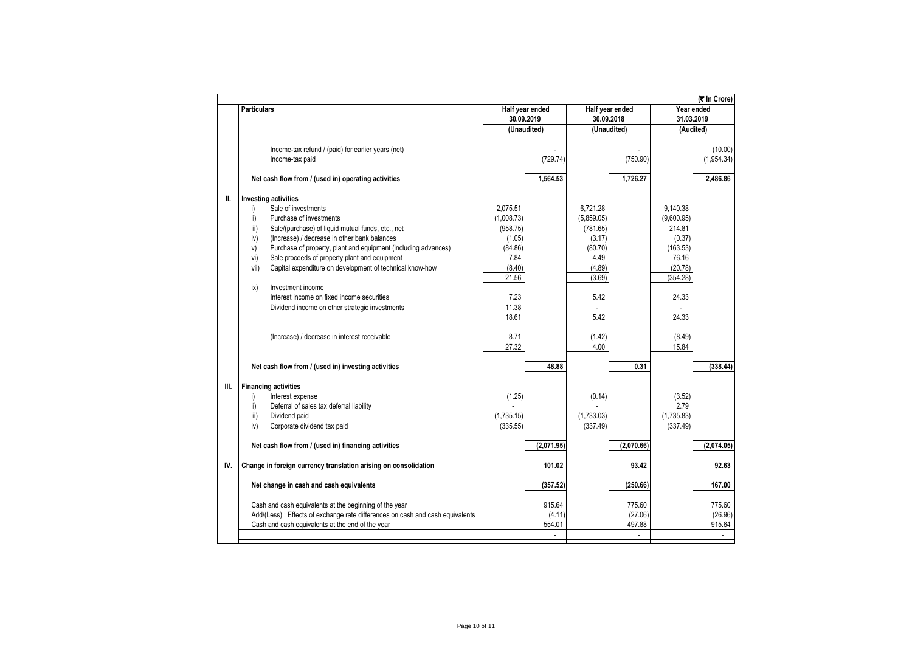|      |                                                                                                                                                                                                                                                                                                                                                                                                                                                                                                                                                                                                                        |                                                                                                                               |                                  |                                                                                                                       |                                   |                                                                                                                             | (そ In Crore)                      |
|------|------------------------------------------------------------------------------------------------------------------------------------------------------------------------------------------------------------------------------------------------------------------------------------------------------------------------------------------------------------------------------------------------------------------------------------------------------------------------------------------------------------------------------------------------------------------------------------------------------------------------|-------------------------------------------------------------------------------------------------------------------------------|----------------------------------|-----------------------------------------------------------------------------------------------------------------------|-----------------------------------|-----------------------------------------------------------------------------------------------------------------------------|-----------------------------------|
|      | <b>Particulars</b>                                                                                                                                                                                                                                                                                                                                                                                                                                                                                                                                                                                                     | Half year ended<br>30.09.2019                                                                                                 |                                  | Half year ended<br>30.09.2018                                                                                         |                                   | Year ended<br>31.03.2019                                                                                                    |                                   |
|      |                                                                                                                                                                                                                                                                                                                                                                                                                                                                                                                                                                                                                        | (Unaudited)                                                                                                                   |                                  | (Unaudited)                                                                                                           |                                   | (Audited)                                                                                                                   |                                   |
|      | Income-tax refund / (paid) for earlier years (net)<br>Income-tax paid                                                                                                                                                                                                                                                                                                                                                                                                                                                                                                                                                  |                                                                                                                               | (729.74)                         |                                                                                                                       | (750.90)                          |                                                                                                                             | (10.00)<br>(1,954.34)             |
|      | Net cash flow from / (used in) operating activities                                                                                                                                                                                                                                                                                                                                                                                                                                                                                                                                                                    |                                                                                                                               | 1,564.53                         |                                                                                                                       | 1,726.27                          |                                                                                                                             | 2,486.86                          |
| Ш.   | <b>Investing activities</b>                                                                                                                                                                                                                                                                                                                                                                                                                                                                                                                                                                                            |                                                                                                                               |                                  |                                                                                                                       |                                   |                                                                                                                             |                                   |
|      | Sale of investments<br>i)<br>ii)<br>Purchase of investments<br>iii)<br>Sale/(purchase) of liquid mutual funds, etc., net<br>(Increase) / decrease in other bank balances<br>iv)<br>V)<br>Purchase of property, plant and equipment (including advances)<br>Sale proceeds of property plant and equipment<br>vi)<br>Capital expenditure on development of technical know-how<br>vii)<br>Investment income<br>ix)<br>Interest income on fixed income securities<br>Dividend income on other strategic investments<br>(Increase) / decrease in interest receivable<br>Net cash flow from / (used in) investing activities | 2,075.51<br>(1,008.73)<br>(958.75)<br>(1.05)<br>(84.86)<br>7.84<br>(8.40)<br>21.56<br>7.23<br>11.38<br>18.61<br>8.71<br>27.32 | 48.88                            | 6,721.28<br>(5,859.05)<br>(781.65)<br>(3.17)<br>(80.70)<br>4.49<br>(4.89)<br>(3.69)<br>5.42<br>5.42<br>(1.42)<br>4.00 | 0.31                              | 9,140.38<br>(9,600.95)<br>214.81<br>(0.37)<br>(163.53)<br>76.16<br>(20.78)<br>(354.28)<br>24.33<br>24.33<br>(8.49)<br>15.84 | (338.44)                          |
|      |                                                                                                                                                                                                                                                                                                                                                                                                                                                                                                                                                                                                                        |                                                                                                                               |                                  |                                                                                                                       |                                   |                                                                                                                             |                                   |
| III. | <b>Financing activities</b><br>i)<br>Interest expense<br>ii)<br>Deferral of sales tax deferral liability<br>Dividend paid<br>iii)<br>Corporate dividend tax paid<br>iv)                                                                                                                                                                                                                                                                                                                                                                                                                                                | (1.25)<br>(1,735.15)<br>(335.55)                                                                                              |                                  | (0.14)<br>(1,733.03)<br>(337.49)                                                                                      |                                   | (3.52)<br>2.79<br>(1,735.83)<br>(337.49)                                                                                    |                                   |
|      | Net cash flow from / (used in) financing activities                                                                                                                                                                                                                                                                                                                                                                                                                                                                                                                                                                    |                                                                                                                               | (2,071.95)                       |                                                                                                                       | (2,070.66)                        |                                                                                                                             | (2,074.05)                        |
| IV.  | Change in foreign currency translation arising on consolidation                                                                                                                                                                                                                                                                                                                                                                                                                                                                                                                                                        |                                                                                                                               | 101.02                           |                                                                                                                       | 93.42                             |                                                                                                                             | 92.63                             |
|      | Net change in cash and cash equivalents                                                                                                                                                                                                                                                                                                                                                                                                                                                                                                                                                                                |                                                                                                                               | (357.52)                         |                                                                                                                       | (250.66)                          |                                                                                                                             | 167.00                            |
|      | Cash and cash equivalents at the beginning of the year<br>Add/(Less) : Effects of exchange rate differences on cash and cash equivalents<br>Cash and cash equivalents at the end of the year                                                                                                                                                                                                                                                                                                                                                                                                                           |                                                                                                                               | 915.64<br>(4.11)<br>554.01<br>ä, |                                                                                                                       | 775.60<br>(27.06)<br>497.88<br>÷. |                                                                                                                             | 775.60<br>(26.96)<br>915.64<br>÷, |